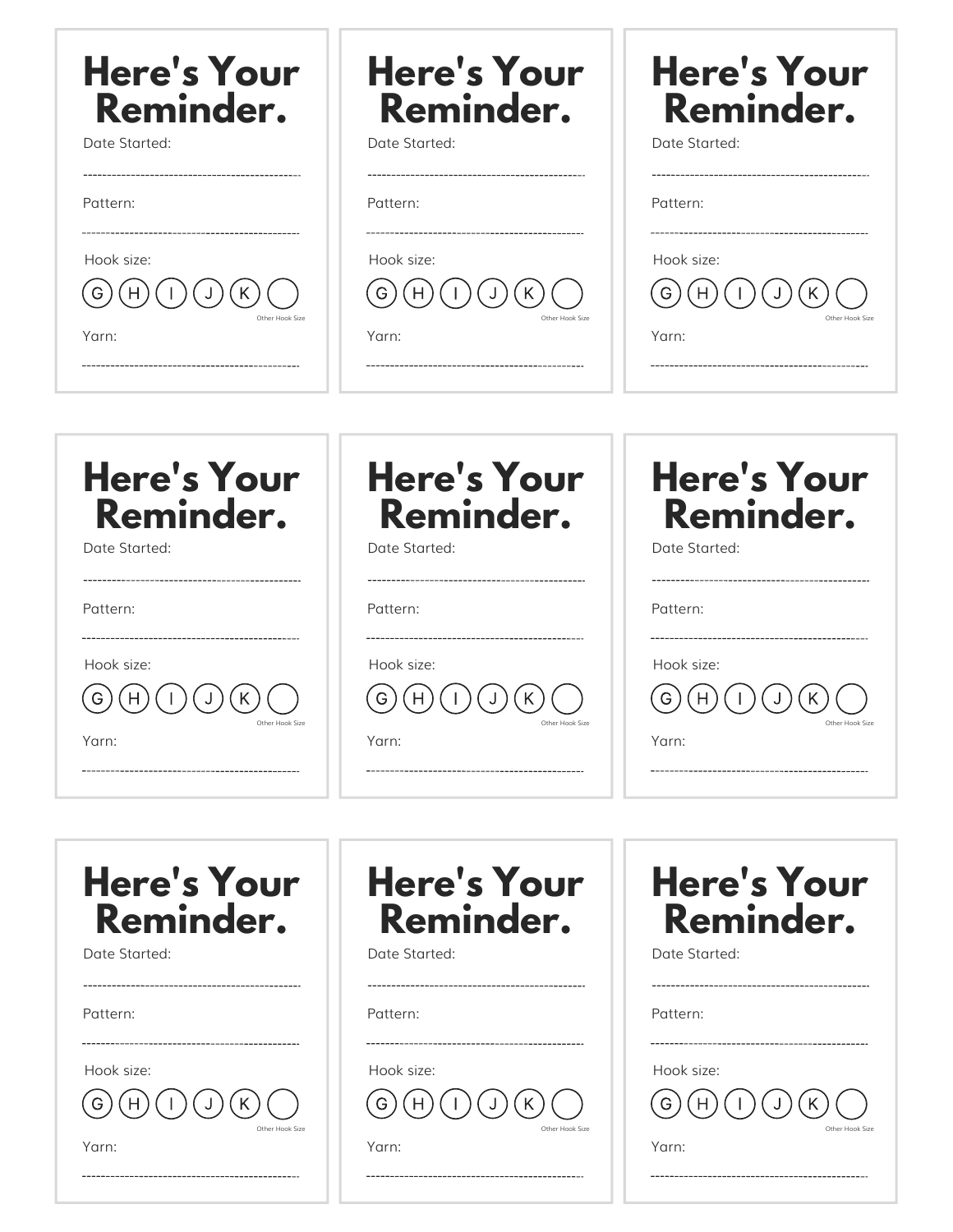| <b>Here's Your</b>                                                                 | <b>Here's Your</b>                                                                                                 | <b>Here's Your</b>                                                                 |
|------------------------------------------------------------------------------------|--------------------------------------------------------------------------------------------------------------------|------------------------------------------------------------------------------------|
| Reminder.                                                                          | Reminder.                                                                                                          | Reminder.                                                                          |
| Date Started:                                                                      | Date Started:                                                                                                      | Date Started:                                                                      |
|                                                                                    |                                                                                                                    | -----------------------------------                                                |
| Pattern:                                                                           | Pattern:                                                                                                           | Pattern:                                                                           |
| -----------------------------------<br>Hook size:<br>H<br>Other Hook Size<br>Yarn: | ---------------------------------<br>Hook size:<br>Other Hook Size<br>Yarn:<br>----------------------------------- | -----------------------------------<br>Hook size:<br>G<br>Other Hook Size<br>Yarn: |
| <b>Here's Your</b>                                                                 | <b>Here's Your</b>                                                                                                 | <b>Here's Your</b>                                                                 |
| Reminder.                                                                          | Reminder.                                                                                                          | Reminder.                                                                          |
| Date Started:                                                                      | Date Started:                                                                                                      | Date Started:                                                                      |
|                                                                                    |                                                                                                                    |                                                                                    |
| Pattern:                                                                           | Pattern:                                                                                                           | Pattern:                                                                           |
| ----------------------------------                                                 |                                                                                                                    | ------------------------------------                                               |
| Hook size:                                                                         | Hook size:                                                                                                         | Hook size:                                                                         |

| - |  |
|---|--|

Other Hook Size

Yarn:

| <b>Here's Your</b><br>Reminder.        | <b>Here's Your</b><br>Reminder.              | <b>Here's Your</b><br>Reminder.              |  |
|----------------------------------------|----------------------------------------------|----------------------------------------------|--|
| Date Started:                          | Date Started:                                | Date Started:                                |  |
| Pattern:                               | Pattern:                                     | Pattern:                                     |  |
| Hook size:<br>Other Hook Size<br>Yarn: | Hook size:<br>G)<br>Other Hook Size<br>Yarn: | Hook size:<br>G)<br>Other Hook Size<br>Yarn: |  |
|                                        |                                              | ----------------------------------           |  |

Other Hook Size

Yarn:

Other Hook Size